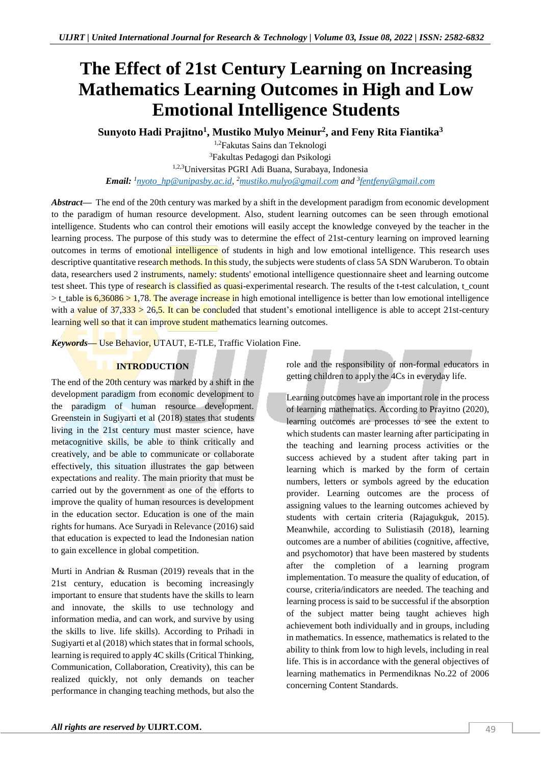# **The Effect of 21st Century Learning on Increasing Mathematics Learning Outcomes in High and Low Emotional Intelligence Students**

**Sunyoto Hadi Prajitno<sup>1</sup> , Mustiko Mulyo Meinur<sup>2</sup> , and Feny Rita Fiantika<sup>3</sup>**

1,2Fakutas Sains dan Teknologi <sup>3</sup>Fakultas Pedagogi dan Psikologi 1,2,3Universitas PGRI Adi Buana, Surabaya, Indonesia *Email: <sup>1</sup>[nyoto\\_hp@unipasby.ac.id,](mailto:nyoto_hp@unipasby.ac.id)  <sup>2</sup>[mustiko.mulyo@gmail.com](mailto:mustiko.mulyo@gmail.com) and <sup>3</sup> [fentfeny@gmail.com](mailto:fentfeny@gmail.com)*

*Abstract—* The end of the 20th century was marked by a shift in the development paradigm from economic development to the paradigm of human resource development. Also, student learning outcomes can be seen through emotional intelligence. Students who can control their emotions will easily accept the knowledge conveyed by the teacher in the learning process. The purpose of this study was to determine the effect of 21st-century learning on improved learning outcomes in terms of emotional intelligence of students in high and low emotional intelligence. This research uses descriptive quantitative research methods. In this study, the subjects were students of class 5A SDN Waruberon. To obtain data, researchers used 2 instruments, namely: students' emotional intelligence questionnaire sheet and learning outcome test sheet. This type of research is classified as quasi-experimental research. The results of the t-test calculation, t\_count  $>$ t\_table is 6,36086 > 1,78. The average increase in high emotional intelligence is better than low emotional intelligence with a value of  $37,333 > 26.5$ . It can be concluded that student's emotional intelligence is able to accept 21st-century learning well so that it can improve student mathematics learning outcomes.

*Keywords—* Use Behavior, UTAUT, E-TLE, Traffic Violation Fine.

# **INTRODUCTION**

The end of the 20th century was marked by a shift in the development paradigm from economic development to the paradigm of human resource development. Greenstein in Sugiyarti et al (2018) states that students living in the 21st century must master science, have metacognitive skills, be able to think critically and creatively, and be able to communicate or collaborate effectively, this situation illustrates the gap between expectations and reality. The main priority that must be carried out by the government as one of the efforts to improve the quality of human resources is development in the education sector. Education is one of the main rights for humans. Ace Suryadi in Relevance (2016) said that education is expected to lead the Indonesian nation to gain excellence in global competition.

Murti in Andrian & Rusman (2019) reveals that in the 21st century, education is becoming increasingly important to ensure that students have the skills to learn and innovate, the skills to use technology and information media, and can work, and survive by using the skills to live. life skills). According to Prihadi in Sugiyarti et al (2018) which states that in formal schools, learning is required to apply 4C skills (Critical Thinking, Communication, Collaboration, Creativity), this can be realized quickly, not only demands on teacher performance in changing teaching methods, but also the

role and the responsibility of non-formal educators in getting children to apply the 4Cs in everyday life.

Learning outcomes have an important role in the process of learning mathematics. According to Prayitno (2020), learning outcomes are processes to see the extent to which students can master learning after participating in the teaching and learning process activities or the success achieved by a student after taking part in learning which is marked by the form of certain numbers, letters or symbols agreed by the education provider. Learning outcomes are the process of assigning values to the learning outcomes achieved by students with certain criteria (Rajagukguk, 2015). Meanwhile, according to Sulistiasih (2018), learning outcomes are a number of abilities (cognitive, affective, and psychomotor) that have been mastered by students after the completion of a learning program implementation. To measure the quality of education, of course, criteria/indicators are needed. The teaching and learning process is said to be successful if the absorption of the subject matter being taught achieves high achievement both individually and in groups, including in mathematics. In essence, mathematics is related to the ability to think from low to high levels, including in real life. This is in accordance with the general objectives of learning mathematics in Permendiknas No.22 of 2006 concerning Content Standards.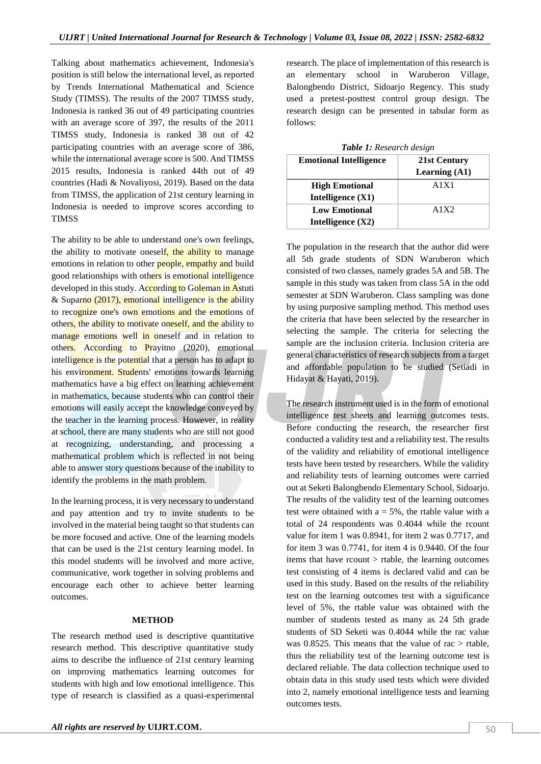Talking about mathematics achievement, Indonesia's position is still below the international level, as reported by Trends International Mathematical and Science Study (TIMSS). The results of the 2007 TIMSS study, Indonesia is ranked 36 out of 49 participating countries with an average score of 397, the results of the 2011 TIMSS study, Indonesia is ranked 38 out of 42 participating countries with an average score of 386, while the international average score is 500. And TIMSS 2015 results, Indonesia is ranked 44th out of 49 countries (Hadi & Novaliyosi, 2019). Based on the data from TIMSS, the application of 21st century learning in Indonesia is needed to improve scores according to TIMSS

The ability to be able to understand one's own feelings, the ability to motivate oneself, the ability to manage emotions in relation to other people, empathy and build good relationships with others is emotional intelligence developed in this study. According to Goleman in Astuti & Suparno  $(2017)$ , emotional intelligence is the ability to recognize one's own emotions and the emotions of others, the ability to motivate oneself, and the ability to manage emotions well in oneself and in relation to others. According to Prayitno (2020), emotional intelligence is the potential that a person has to adapt to his environment. Students' emotions towards learning mathematics have a big effect on learning achievement in mathematics, because students who can control their emotions will easily accept the knowledge conveyed by the teacher in the learning process. However, in reality at school, there are many students who are still not good at recognizing, understanding, and processing a mathematical problem which is reflected in not being able to answer story questions because of the inability to identify the problems in the math problem.

In the learning process, it is very necessary to understand and pay attention and try to invite students to be involved in the material being taught so that students can be more focused and active. One of the learning models that can be used is the 21st century learning model. In this model students will be involved and more active, communicative, work together in solving problems and encourage each other to achieve better learning outcomes.

## **METHOD**

The research method used is descriptive quantitative research method. This descriptive quantitative study aims to describe the influence of 21st century learning on improving mathematics learning outcomes for students with high and low emotional intelligence. This type of research is classified as a quasi-experimental

research. The place of implementation of this research is an elementary school in Waruberon Village, Balongbendo District, Sidoarjo Regency. This study used a pretest-posttest control group design. The research design can be presented in tabular form as follows:

| <b>Table 1:</b> Research design |                 |  |  |  |
|---------------------------------|-----------------|--|--|--|
| <b>Emotional Intelligence</b>   | 21st Century    |  |  |  |
|                                 | Learning $(A1)$ |  |  |  |
| <b>High Emotional</b>           | A1X1            |  |  |  |
| Intelligence $(X1)$             |                 |  |  |  |
| <b>Low Emotional</b>            | A1X2            |  |  |  |
| Intelligence $(X2)$             |                 |  |  |  |

|  |  |  |  | Table 1: Research design |  |
|--|--|--|--|--------------------------|--|
|--|--|--|--|--------------------------|--|

The population in the research that the author did were all 5th grade students of SDN Waruberon which consisted of two classes, namely grades 5A and 5B. The sample in this study was taken from class 5A in the odd semester at SDN Waruberon. Class sampling was done by using purposive sampling method. This method uses the criteria that have been selected by the researcher in selecting the sample. The criteria for selecting the sample are the inclusion criteria. Inclusion criteria are general characteristics of research subjects from a target and affordable population to be studied (Setiadi in Hidayat & Hayati, 2019).

The research instrument used is in the form of emotional intelligence test sheets and learning outcomes tests. Before conducting the research, the researcher first conducted a validity test and a reliability test. The results of the validity and reliability of emotional intelligence tests have been tested by researchers. While the validity and reliability tests of learning outcomes were carried out at Seketi Balongbendo Elementary School, Sidoarjo. The results of the validity test of the learning outcomes test were obtained with  $a = 5\%$ , the rtable value with a total of 24 respondents was 0.4044 while the rcount value for item 1 was 0.8941, for item 2 was 0.7717, and for item 3 was 0.7741, for item 4 is 0.9440. Of the four items that have rcount > rtable, the learning outcomes test consisting of 4 items is declared valid and can be used in this study. Based on the results of the reliability test on the learning outcomes test with a significance level of 5%, the rtable value was obtained with the number of students tested as many as 24 5th grade students of SD Seketi was 0.4044 while the rac value was 0.8525. This means that the value of rac  $>$  rtable, thus the reliability test of the learning outcome test is declared reliable. The data collection technique used to obtain data in this study used tests which were divided into 2, namely emotional intelligence tests and learning outcomes tests.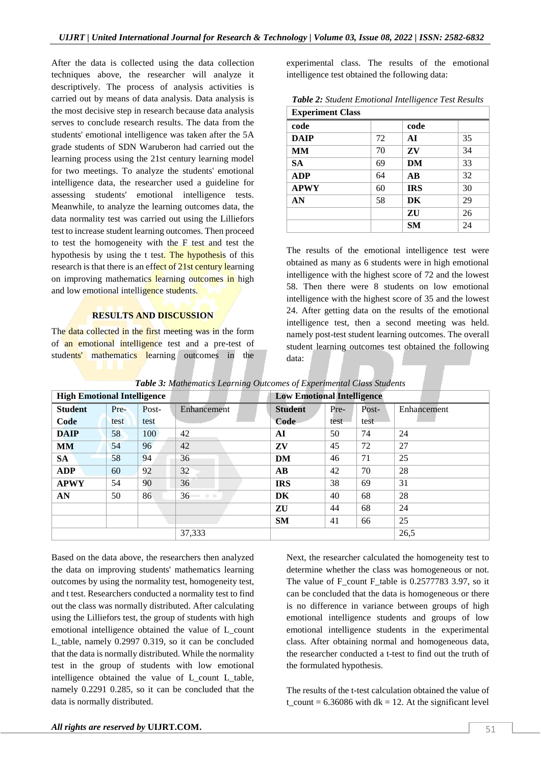After the data is collected using the data collection techniques above, the researcher will analyze it descriptively. The process of analysis activities is carried out by means of data analysis. Data analysis is the most decisive step in research because data analysis serves to conclude research results. The data from the students' emotional intelligence was taken after the 5A grade students of SDN Waruberon had carried out the learning process using the 21st century learning model for two meetings. To analyze the students' emotional intelligence data, the researcher used a guideline for assessing students' emotional intelligence tests. Meanwhile, to analyze the learning outcomes data, the data normality test was carried out using the Lilliefors test to increase student learning outcomes. Then proceed to test the homogeneity with the F test and test the hypothesis by using the t test. The hypothesis of this research is that there is an effect of 21st century learning on improving mathematics learning outcomes in high and low emotional intelligence students.

### **RESULTS AND DISCUSSION**

The data collected in the first meeting was in the form of an emotional intelligence test and a pre-test of students' mathematics learning outcomes in the experimental class. The results of the emotional intelligence test obtained the following data:

*Table 2: Student Emotional Intelligence Test Results*

| <b>Experiment Class</b> |    |                 |    |
|-------------------------|----|-----------------|----|
| code                    |    | code            |    |
| <b>DAIP</b>             | 72 | AI              | 35 |
| MM                      | 70 | ZV              | 34 |
| <b>SA</b>               | 69 | DM              | 33 |
| <b>ADP</b>              | 64 | $\overline{AB}$ | 32 |
| <b>APWY</b>             | 60 | <b>IRS</b>      | 30 |
| AN                      | 58 | DK              | 29 |
|                         |    | ZU              | 26 |
|                         |    | <b>SM</b>       | 24 |

The results of the emotional intelligence test were obtained as many as 6 students were in high emotional intelligence with the highest score of 72 and the lowest 58. Then there were 8 students on low emotional intelligence with the highest score of 35 and the lowest 24. After getting data on the results of the emotional intelligence test, then a second meeting was held. namely post-test student learning outcomes. The overall student learning outcomes test obtained the following data:

| $\cdot$ $\cdot$ $\cdot$<br><b>High Emotional Intelligence</b> |      |                               |                                                                                                                                                                                                                                                                                                                                                                                                                                                                                             | <b>Low Emotional Intelligence</b> |       |             |      |
|---------------------------------------------------------------|------|-------------------------------|---------------------------------------------------------------------------------------------------------------------------------------------------------------------------------------------------------------------------------------------------------------------------------------------------------------------------------------------------------------------------------------------------------------------------------------------------------------------------------------------|-----------------------------------|-------|-------------|------|
| <b>Student</b><br>Pre-<br>Post-                               |      | <b>Student</b><br>Enhancement |                                                                                                                                                                                                                                                                                                                                                                                                                                                                                             | Pre-                              | Post- | Enhancement |      |
| Code                                                          | test | test                          |                                                                                                                                                                                                                                                                                                                                                                                                                                                                                             | Code                              | test  | test        |      |
| <b>DAIP</b>                                                   | 58   | 100                           | 42                                                                                                                                                                                                                                                                                                                                                                                                                                                                                          | AI                                | 50    | 74          | 24   |
| <b>MM</b>                                                     | 54   | 96                            | 42                                                                                                                                                                                                                                                                                                                                                                                                                                                                                          | ZV                                | 45    | 72          | 27   |
| <b>SA</b>                                                     | 58   | 94                            | 36                                                                                                                                                                                                                                                                                                                                                                                                                                                                                          | <b>DM</b>                         | 46    | 71          | 25   |
| <b>ADP</b>                                                    | 60   | 92                            | 32                                                                                                                                                                                                                                                                                                                                                                                                                                                                                          | $\mathbf{A}\mathbf{B}$            | 42    | 70          | 28   |
| <b>APWY</b>                                                   | 54   | 90                            | 36                                                                                                                                                                                                                                                                                                                                                                                                                                                                                          | <b>IRS</b>                        | 38    | 69          | 31   |
| AN                                                            | 50   | 86                            | 36<br>$\begin{array}{ccccccccc} \multicolumn{3}{c}{} & \multicolumn{3}{c}{} & \multicolumn{3}{c}{} & \multicolumn{3}{c}{} & \multicolumn{3}{c}{} & \multicolumn{3}{c}{} & \multicolumn{3}{c}{} & \multicolumn{3}{c}{} & \multicolumn{3}{c}{} & \multicolumn{3}{c}{} & \multicolumn{3}{c}{} & \multicolumn{3}{c}{} & \multicolumn{3}{c}{} & \multicolumn{3}{c}{} & \multicolumn{3}{c}{} & \multicolumn{3}{c}{} & \multicolumn{3}{c}{} & \multicolumn{3}{c}{} & \multicolumn{3}{c}{} & \mult$ | DK                                | 40    | 68          | 28   |
|                                                               |      |                               |                                                                                                                                                                                                                                                                                                                                                                                                                                                                                             | ZU                                | 44    | 68          | 24   |
|                                                               |      |                               |                                                                                                                                                                                                                                                                                                                                                                                                                                                                                             | <b>SM</b>                         | 41    | 66          | 25   |
|                                                               |      |                               | 37,333                                                                                                                                                                                                                                                                                                                                                                                                                                                                                      |                                   |       |             | 26,5 |

*Table 3: Mathematics Learning Outcomes of Experimental Class Students*

Based on the data above, the researchers then analyzed the data on improving students' mathematics learning outcomes by using the normality test, homogeneity test, and t test. Researchers conducted a normality test to find out the class was normally distributed. After calculating using the Lilliefors test, the group of students with high emotional intelligence obtained the value of L\_count L\_table, namely 0.2997 0.319, so it can be concluded that the data is normally distributed. While the normality test in the group of students with low emotional intelligence obtained the value of L\_count L\_table, namely 0.2291 0.285, so it can be concluded that the data is normally distributed.

Next, the researcher calculated the homogeneity test to determine whether the class was homogeneous or not. The value of F\_count F\_table is  $0.2577783$  3.97, so it can be concluded that the data is homogeneous or there is no difference in variance between groups of high emotional intelligence students and groups of low emotional intelligence students in the experimental class. After obtaining normal and homogeneous data, the researcher conducted a t-test to find out the truth of the formulated hypothesis.

The results of the t-test calculation obtained the value of t count = 6.36086 with dk = 12. At the significant level